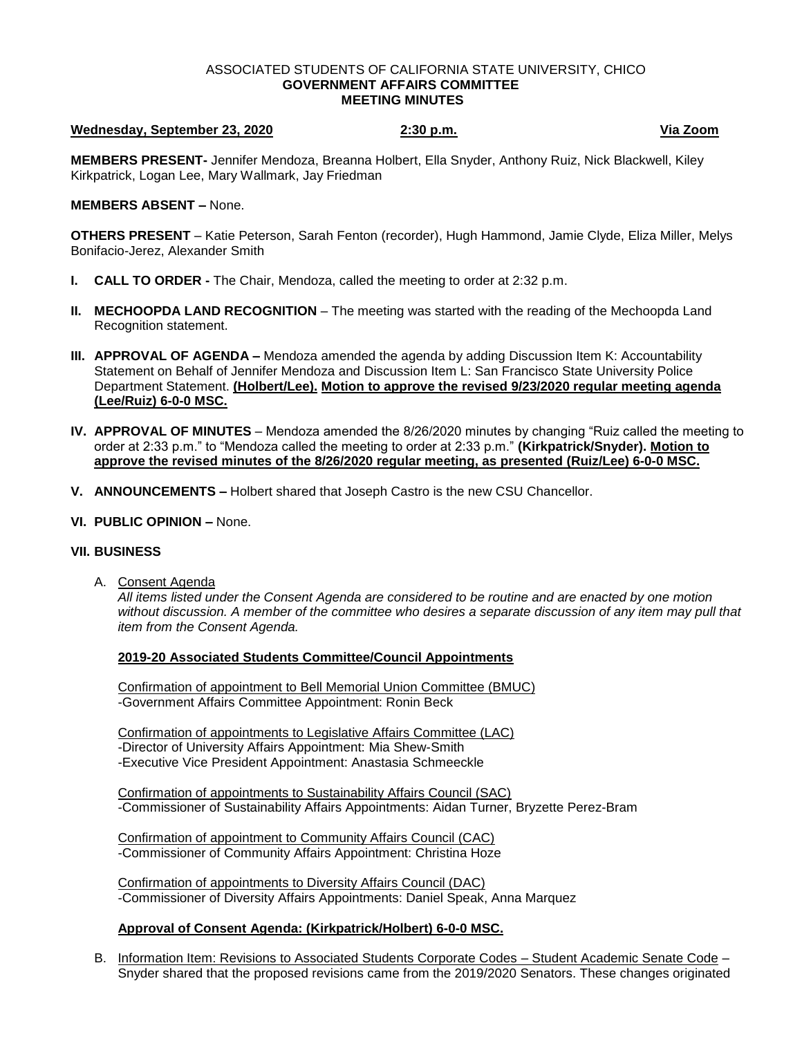#### ASSOCIATED STUDENTS OF CALIFORNIA STATE UNIVERSITY, CHICO **GOVERNMENT AFFAIRS COMMITTEE MEETING MINUTES**

# **Wednesday, September 23, 2020 2:30 p.m. Via Zoom**

**MEMBERS PRESENT-** Jennifer Mendoza, Breanna Holbert, Ella Snyder, Anthony Ruiz, Nick Blackwell, Kiley Kirkpatrick, Logan Lee, Mary Wallmark, Jay Friedman

### **MEMBERS ABSENT –** None.

**OTHERS PRESENT** – Katie Peterson, Sarah Fenton (recorder), Hugh Hammond, Jamie Clyde, Eliza Miller, Melys Bonifacio-Jerez, Alexander Smith

- **I. CALL TO ORDER -** The Chair, Mendoza, called the meeting to order at 2:32 p.m.
- **II. MECHOOPDA LAND RECOGNITION** The meeting was started with the reading of the Mechoopda Land Recognition statement.
- **III. APPROVAL OF AGENDA –** Mendoza amended the agenda by adding Discussion Item K: Accountability Statement on Behalf of Jennifer Mendoza and Discussion Item L: San Francisco State University Police Department Statement. **(Holbert/Lee). Motion to approve the revised 9/23/2020 regular meeting agenda (Lee/Ruiz) 6-0-0 MSC.**
- **IV. APPROVAL OF MINUTES** Mendoza amended the 8/26/2020 minutes by changing "Ruiz called the meeting to order at 2:33 p.m." to "Mendoza called the meeting to order at 2:33 p.m." **(Kirkpatrick/Snyder). Motion to approve the revised minutes of the 8/26/2020 regular meeting, as presented (Ruiz/Lee) 6-0-0 MSC.**
- **V. ANNOUNCEMENTS –** Holbert shared that Joseph Castro is the new CSU Chancellor.

### **VI. PUBLIC OPINION –** None.

## **VII. BUSINESS**

A. Consent Agenda

*All items listed under the Consent Agenda are considered to be routine and are enacted by one motion without discussion. A member of the committee who desires a separate discussion of any item may pull that item from the Consent Agenda.* 

#### **2019-20 Associated Students Committee/Council Appointments**

Confirmation of appointment to Bell Memorial Union Committee (BMUC) -Government Affairs Committee Appointment: Ronin Beck

Confirmation of appointments to Legislative Affairs Committee (LAC) -Director of University Affairs Appointment: Mia Shew-Smith -Executive Vice President Appointment: Anastasia Schmeeckle

Confirmation of appointments to Sustainability Affairs Council (SAC) -Commissioner of Sustainability Affairs Appointments: Aidan Turner, Bryzette Perez-Bram

Confirmation of appointment to Community Affairs Council (CAC) -Commissioner of Community Affairs Appointment: Christina Hoze

Confirmation of appointments to Diversity Affairs Council (DAC) -Commissioner of Diversity Affairs Appointments: Daniel Speak, Anna Marquez

## **Approval of Consent Agenda: (Kirkpatrick/Holbert) 6-0-0 MSC.**

B. Information Item: Revisions to Associated Students Corporate Codes – Student Academic Senate Code – Snyder shared that the proposed revisions came from the 2019/2020 Senators. These changes originated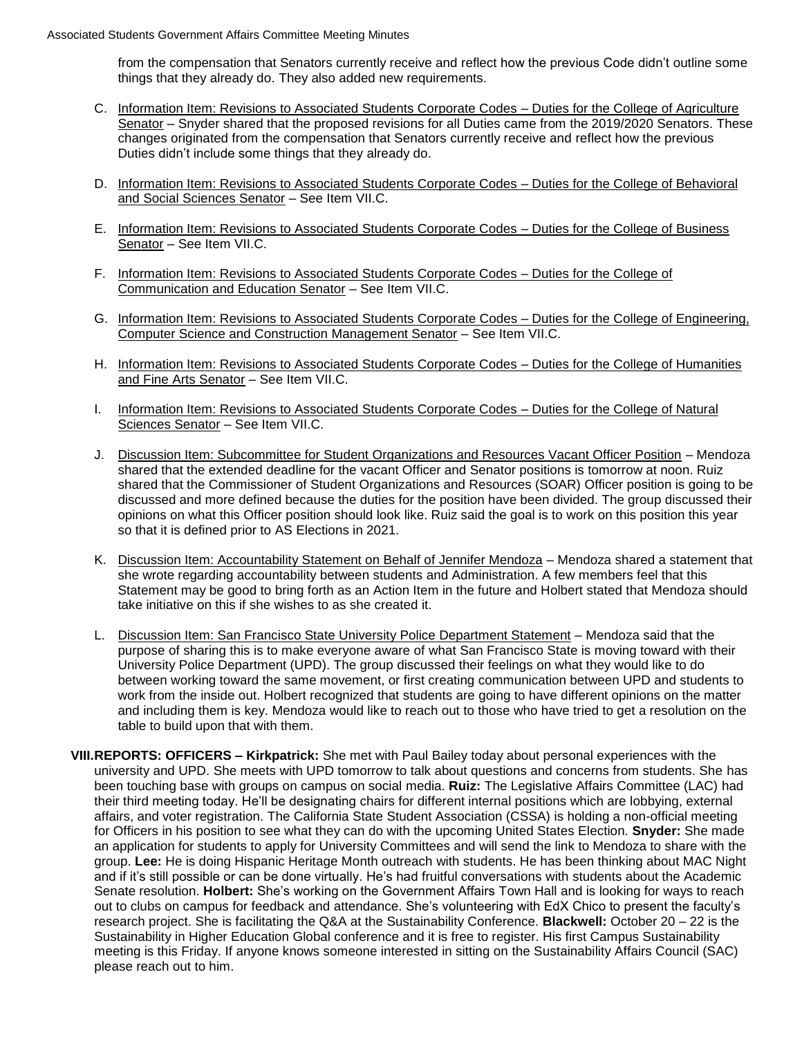from the compensation that Senators currently receive and reflect how the previous Code didn't outline some things that they already do. They also added new requirements.

- C. Information Item: Revisions to Associated Students Corporate Codes Duties for the College of Agriculture Senator – Snyder shared that the proposed revisions for all Duties came from the 2019/2020 Senators. These changes originated from the compensation that Senators currently receive and reflect how the previous Duties didn't include some things that they already do.
- D. Information Item: Revisions to Associated Students Corporate Codes Duties for the College of Behavioral and Social Sciences Senator – See Item VII.C.
- E. Information Item: Revisions to Associated Students Corporate Codes Duties for the College of Business Senator – See Item VII.C.
- F. Information Item: Revisions to Associated Students Corporate Codes Duties for the College of Communication and Education Senator – See Item VII.C.
- G. Information Item: Revisions to Associated Students Corporate Codes Duties for the College of Engineering, Computer Science and Construction Management Senator – See Item VII.C.
- H. Information Item: Revisions to Associated Students Corporate Codes Duties for the College of Humanities and Fine Arts Senator – See Item VII.C.
- I. Information Item: Revisions to Associated Students Corporate Codes Duties for the College of Natural Sciences Senator – See Item VII.C.
- J. Discussion Item: Subcommittee for Student Organizations and Resources Vacant Officer Position Mendoza shared that the extended deadline for the vacant Officer and Senator positions is tomorrow at noon. Ruiz shared that the Commissioner of Student Organizations and Resources (SOAR) Officer position is going to be discussed and more defined because the duties for the position have been divided. The group discussed their opinions on what this Officer position should look like. Ruiz said the goal is to work on this position this year so that it is defined prior to AS Elections in 2021.
- K. Discussion Item: Accountability Statement on Behalf of Jennifer Mendoza Mendoza shared a statement that she wrote regarding accountability between students and Administration. A few members feel that this Statement may be good to bring forth as an Action Item in the future and Holbert stated that Mendoza should take initiative on this if she wishes to as she created it.
- L. Discussion Item: San Francisco State University Police Department Statement Mendoza said that the purpose of sharing this is to make everyone aware of what San Francisco State is moving toward with their University Police Department (UPD). The group discussed their feelings on what they would like to do between working toward the same movement, or first creating communication between UPD and students to work from the inside out. Holbert recognized that students are going to have different opinions on the matter and including them is key. Mendoza would like to reach out to those who have tried to get a resolution on the table to build upon that with them.
- **VIII.REPORTS: OFFICERS – Kirkpatrick:** She met with Paul Bailey today about personal experiences with the university and UPD. She meets with UPD tomorrow to talk about questions and concerns from students. She has been touching base with groups on campus on social media. **Ruiz:** The Legislative Affairs Committee (LAC) had their third meeting today. He'll be designating chairs for different internal positions which are lobbying, external affairs, and voter registration. The California State Student Association (CSSA) is holding a non-official meeting for Officers in his position to see what they can do with the upcoming United States Election. **Snyder:** She made an application for students to apply for University Committees and will send the link to Mendoza to share with the group. **Lee:** He is doing Hispanic Heritage Month outreach with students. He has been thinking about MAC Night and if it's still possible or can be done virtually. He's had fruitful conversations with students about the Academic Senate resolution. **Holbert:** She's working on the Government Affairs Town Hall and is looking for ways to reach out to clubs on campus for feedback and attendance. She's volunteering with EdX Chico to present the faculty's research project. She is facilitating the Q&A at the Sustainability Conference. **Blackwell:** October 20 – 22 is the Sustainability in Higher Education Global conference and it is free to register. His first Campus Sustainability meeting is this Friday. If anyone knows someone interested in sitting on the Sustainability Affairs Council (SAC) please reach out to him.